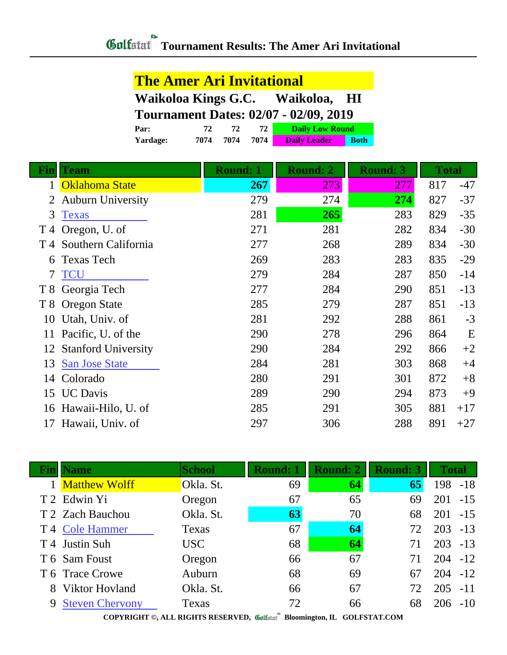| <b>The Amer Ari Invitational</b> |  |  |  |  |  |
|----------------------------------|--|--|--|--|--|
|----------------------------------|--|--|--|--|--|

| Waikoloa Kings G.C. | Waikoloa, | <b>HI</b> |
|---------------------|-----------|-----------|
|---------------------|-----------|-----------|

**Tournament Dates: 02/07 - 02/09, 2019**

| Par:            |      |      |      | <b>Daily Low Round</b> |             |  |
|-----------------|------|------|------|------------------------|-------------|--|
| <b>Yardage:</b> | 7074 | 7074 | 7074 | <b>Daily Leader</b>    | <b>Both</b> |  |

| Fin    | <b>Team</b>              | <b>Round: 1</b> | <b>Round: 2</b> | <b>Round: 3</b> | <b>Total</b> |       |
|--------|--------------------------|-----------------|-----------------|-----------------|--------------|-------|
|        | Oklahoma State           | 267             | 273             | 277             | 817          | $-47$ |
| 2      | <b>Auburn University</b> | 279             | 274             | 274             | 827          | $-37$ |
| 3      | <b>Texas</b>             | 281             | 265             | 283             | 829          | $-35$ |
| T 4    | Oregon, U. of            | 271             | 281             | 282             | 834          | $-30$ |
|        | T 4 Southern California  | 277             | 268             | 289             | 834          | $-30$ |
| 6      | <b>Texas Tech</b>        | 269             | 283             | 283             | 835          | $-29$ |
| $\tau$ | <b>TCU</b>               | 279             | 284             | 287             | 850          | $-14$ |
| T 8    | Georgia Tech             | 277             | 284             | 290             | 851          | $-13$ |
| T 8    | <b>Oregon State</b>      | 285             | 279             | 287             | 851          | $-13$ |
| 10     | Utah, Univ. of           | 281             | 292             | 288             | 861          | $-3$  |
| 11     | Pacific, U. of the       | 290             | 278             | 296             | 864          | E     |
|        | 12 Stanford University   | 290             | 284             | 292             | 866          | $+2$  |
| 13     | <b>San Jose State</b>    | 284             | 281             | 303             | 868          | $+4$  |
| 14     | Colorado                 | 280             | 291             | 301             | 872          | $+8$  |
| 15     | <b>UC</b> Davis          | 289             | 290             | 294             | 873          | $+9$  |
|        | 16 Hawaii-Hilo, U. of    | 285             | 291             | 305             | 881          | $+17$ |
| 17     | Hawaii, Univ. of         | 297             | 306             | 288             | 891          | $+27$ |
|        |                          |                 |                 |                 |              |       |

| <b>Name</b>                                                                                                              | School     | <b>Round: 1</b> | <b>Round: 2</b> | <b>Round: 3</b> | <b>Total</b> |       |  |  |
|--------------------------------------------------------------------------------------------------------------------------|------------|-----------------|-----------------|-----------------|--------------|-------|--|--|
| <b>Matthew Wolff</b>                                                                                                     | Okla. St.  | 69              | 64              | 65              | 198          | $-18$ |  |  |
| T 2 Edwin Yi                                                                                                             | Oregon     | 67              | 65              | 69              | 201          | $-15$ |  |  |
| T 2 Zach Bauchou                                                                                                         | Okla. St.  | 63              | 70              | 68              | 201          | $-15$ |  |  |
| T 4 Cole Hammer                                                                                                          | Texas      | 67              | 64              | 72              | 203          | $-13$ |  |  |
| T 4 Justin Suh                                                                                                           | <b>USC</b> | 68              | 64              | 71              | 203          | $-13$ |  |  |
| T 6 Sam Foust                                                                                                            | Oregon     | 66              | 67              | 71              | $204 - 12$   |       |  |  |
| T 6 Trace Crowe                                                                                                          | Auburn     | 68              | 69              | 67              | $204 - 12$   |       |  |  |
| 8 Viktor Hovland                                                                                                         | Okla. St.  | 66              | 67              | 72              | 205          | $-11$ |  |  |
| 9 Steven Chervony                                                                                                        | Texas      | 72              | 66              | 68              | $206 - 10$   |       |  |  |
| CONVINIOUS IT DICTION DESERVED $\#$ $\#$ $\mathbb{R}$ by $\mathbb{R}$ if $\mathbb{C}$ of $\mathbb{R}$ music $\mathbb{C}$ |            |                 |                 |                 |              |       |  |  |

**COPYRIGHT ©, ALL RIGHTS RESERVED, Bloomington, IL GOLFSTAT.COM**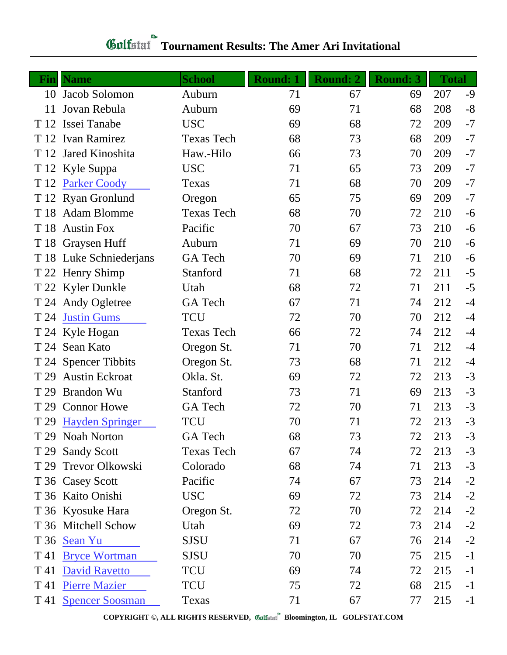| <b>Fin</b> | <b>Name</b>             | <b>School</b>     | <b>Round: 1</b> | <b>Round: 2</b> | <b>Round: 3</b> | <b>Total</b> |      |
|------------|-------------------------|-------------------|-----------------|-----------------|-----------------|--------------|------|
| 10         | Jacob Solomon           | Auburn            | 71              | 67              | 69              | 207          | $-9$ |
| 11         | Jovan Rebula            | Auburn            | 69              | 71              | 68              | 208          | $-8$ |
| T 12       | Issei Tanabe            | <b>USC</b>        | 69              | 68              | 72              | 209          | $-7$ |
| T 12       | Ivan Ramirez            | <b>Texas Tech</b> | 68              | 73              | 68              | 209          | $-7$ |
| T 12       | Jared Kinoshita         | Haw.-Hilo         | 66              | 73              | 70              | 209          | $-7$ |
|            | T 12 Kyle Suppa         | <b>USC</b>        | 71              | 65              | 73              | 209          | $-7$ |
|            | T 12 Parker Coody       | Texas             | 71              | 68              | 70              | 209          | $-7$ |
|            | T 12 Ryan Gronlund      | Oregon            | 65              | 75              | 69              | 209          | $-7$ |
| T 18       | <b>Adam Blomme</b>      | <b>Texas Tech</b> | 68              | 70              | 72              | 210          | $-6$ |
| T 18       | <b>Austin Fox</b>       | Pacific           | 70              | 67              | 73              | 210          | $-6$ |
|            | T 18 Graysen Huff       | Auburn            | 71              | 69              | 70              | 210          | $-6$ |
|            | T 18 Luke Schniederjans | <b>GA</b> Tech    | 70              | 69              | 71              | 210          | $-6$ |
|            | T 22 Henry Shimp        | Stanford          | 71              | 68              | 72              | 211          | $-5$ |
|            | T 22 Kyler Dunkle       | Utah              | 68              | 72              | 71              | 211          | $-5$ |
|            | T 24 Andy Ogletree      | GA Tech           | 67              | 71              | 74              | 212          | $-4$ |
| T 24       | <b>Justin Gums</b>      | <b>TCU</b>        | 72              | 70              | 70              | 212          | $-4$ |
|            | T 24 Kyle Hogan         | <b>Texas Tech</b> | 66              | 72              | 74              | 212          | $-4$ |
|            | T 24 Sean Kato          | Oregon St.        | 71              | 70              | 71              | 212          | $-4$ |
|            | T 24 Spencer Tibbits    | Oregon St.        | 73              | 68              | 71              | 212          | $-4$ |
| T 29       | <b>Austin Eckroat</b>   | Okla. St.         | 69              | 72              | 72              | 213          | $-3$ |
| T 29       | <b>Brandon Wu</b>       | Stanford          | 73              | 71              | 69              | 213          | $-3$ |
| T 29       | <b>Connor Howe</b>      | GA Tech           | 72              | 70              | 71              | 213          | $-3$ |
| T 29       | <b>Hayden Springer</b>  | <b>TCU</b>        | 70              | 71              | 72              | 213          | $-3$ |
|            | T 29 Noah Norton        | GA Tech           | 68              | 73              | 72              | 213          | $-3$ |
|            | T 29 Sandy Scott        | <b>Texas Tech</b> | 67              | 74              | 72              | 213          | $-3$ |
|            | T 29 Trevor Olkowski    | Colorado          | 68              | 74              | 71              | 213          | $-3$ |
|            | T 36 Casey Scott        | Pacific           | 74              | 67              | 73              | 214          | $-2$ |
|            | T 36 Kaito Onishi       | <b>USC</b>        | 69              | 72              | 73              | 214          | $-2$ |
|            | T 36 Kyosuke Hara       | Oregon St.        | 72              | 70              | 72              | 214          | $-2$ |
|            | T 36 Mitchell Schow     | Utah              | 69              | 72              | 73              | 214          | $-2$ |
|            | T 36 Sean Yu            | <b>SJSU</b>       | 71              | 67              | 76              | 214          | $-2$ |
| T 41       | <b>Bryce Wortman</b>    | <b>SJSU</b>       | 70              | 70              | 75              | 215          | $-1$ |
| T 41       | <b>David Ravetto</b>    | <b>TCU</b>        | 69              | 74              | 72              | 215          | $-1$ |
|            | T 41 Pierre Mazier      | <b>TCU</b>        | 75              | 72              | 68              | 215          | $-1$ |
|            | T 41 Spencer Soosman    | Texas             | 71              | 67              | 77              | 215          | $-1$ |

## **Gulfatat** Tournament Results: The Amer Ari Invitational

**COPYRIGHT ©, ALL RIGHTS RESERVED, Bloomington, IL GOLFSTAT.COM**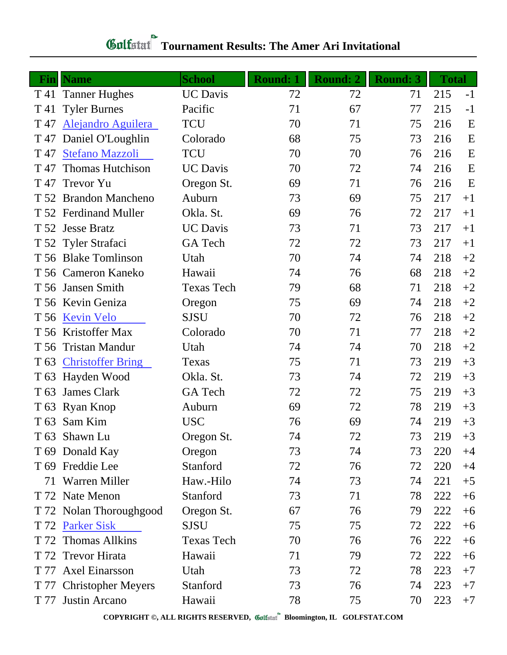| <b>Fin</b> | <b>Name</b>              | <b>School</b>     | <b>Round: 1</b> | <b>Round: 2</b> | <b>Round: 3</b> | <b>Total</b> |      |
|------------|--------------------------|-------------------|-----------------|-----------------|-----------------|--------------|------|
| T 41       | <b>Tanner Hughes</b>     | <b>UC</b> Davis   | 72              | 72              | 71              | 215          | $-1$ |
| T 41       | <b>Tyler Burnes</b>      | Pacific           | 71              | 67              | 77              | 215          | $-1$ |
| T 47       | Alejandro Aguilera       | <b>TCU</b>        | 70              | 71              | 75              | 216          | E    |
| T 47       | Daniel O'Loughlin        | Colorado          | 68              | 75              | 73              | 216          | E    |
| T 47       | <b>Stefano Mazzoli</b>   | <b>TCU</b>        | 70              | 70              | 76              | 216          | E    |
| T 47       | <b>Thomas Hutchison</b>  | <b>UC</b> Davis   | 70              | 72              | 74              | 216          | E    |
| T 47       | <b>Trevor Yu</b>         | Oregon St.        | 69              | 71              | 76              | 216          | E    |
|            | T 52 Brandon Mancheno    | Auburn            | 73              | 69              | 75              | 217          | $+1$ |
|            | T 52 Ferdinand Muller    | Okla. St.         | 69              | 76              | 72              | 217          | $+1$ |
|            | T 52 Jesse Bratz         | <b>UC</b> Davis   | 73              | 71              | 73              | 217          | $+1$ |
|            | T 52 Tyler Strafaci      | GA Tech           | 72              | 72              | 73              | 217          | $+1$ |
|            | T 56 Blake Tomlinson     | Utah              | 70              | 74              | 74              | 218          | $+2$ |
|            | T 56 Cameron Kaneko      | Hawaii            | 74              | 76              | 68              | 218          | $+2$ |
|            | T 56 Jansen Smith        | <b>Texas Tech</b> | 79              | 68              | 71              | 218          | $+2$ |
|            | T 56 Kevin Geniza        | Oregon            | 75              | 69              | 74              | 218          | $+2$ |
| T 56       | <b>Kevin Velo</b>        | <b>SJSU</b>       | 70              | 72              | 76              | 218          | $+2$ |
| T 56       | Kristoffer Max           | Colorado          | 70              | 71              | 77              | 218          | $+2$ |
| T 56       | <b>Tristan Mandur</b>    | Utah              | 74              | 74              | 70              | 218          | $+2$ |
| T 63       | <b>Christoffer Bring</b> | Texas             | 75              | 71              | 73              | 219          | $+3$ |
| T 63       | Hayden Wood              | Okla. St.         | 73              | 74              | 72              | 219          | $+3$ |
| T 63       | <b>James Clark</b>       | <b>GA</b> Tech    | 72              | 72              | 75              | 219          | $+3$ |
|            | T 63 Ryan Knop           | Auburn            | 69              | 72              | 78              | 219          | $+3$ |
|            | T 63 Sam Kim             | <b>USC</b>        | 76              | 69              | 74              | 219          | $+3$ |
|            | T 63 Shawn Lu            | Oregon St.        | 74              | 72              | 73              | 219          | $+3$ |
|            | T 69 Donald Kay          | Oregon            | 73              | 74              | 73              | 220          | $+4$ |
|            | T 69 Freddie Lee         | Stanford          | 72              | 76              | 72              | 220          | $+4$ |
| 71         | <b>Warren Miller</b>     | Haw.-Hilo         | 74              | 73              | 74              | 221          | $+5$ |
|            | T 72 Nate Menon          | Stanford          | 73              | 71              | 78              | 222          | $+6$ |
|            | T 72 Nolan Thoroughgood  | Oregon St.        | 67              | 76              | 79              | 222          | $+6$ |
| T 72       | <b>Parker Sisk</b>       | <b>SJSU</b>       | 75              | 75              | 72              | 222          | $+6$ |
| T 72       | <b>Thomas Allkins</b>    | <b>Texas Tech</b> | 70              | 76              | 76              | 222          | $+6$ |
| T 72       | <b>Trevor Hirata</b>     | Hawaii            | 71              | 79              | 72              | 222          | $+6$ |
|            | T 77 Axel Einarsson      | Utah              | 73              | 72              | 78              | 223          | $+7$ |
|            | T 77 Christopher Meyers  | Stanford          | 73              | 76              | 74              | 223          | $+7$ |
|            | T 77 Justin Arcano       | Hawaii            | 78              | 75              | 70              | 223          | $+7$ |

## **Gulfatat** Tournament Results: The Amer Ari Invitational

**COPYRIGHT ©, ALL RIGHTS RESERVED, Bloomington, IL GOLFSTAT.COM**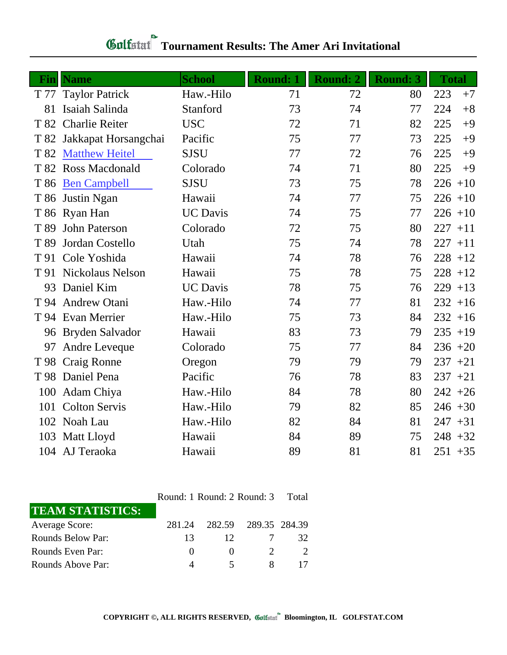| Fin  | <b>Name</b>           | <b>School</b>   | <b>Round: 1</b> | <b>Round: 2</b> | <b>Round: 3</b> | <b>Total</b> |
|------|-----------------------|-----------------|-----------------|-----------------|-----------------|--------------|
| T 77 | <b>Taylor Patrick</b> | Haw.-Hilo       | 71              | 72              | 80              | 223<br>$+7$  |
| 81   | Isaiah Salinda        | Stanford        | 73              | 74              | 77              | 224<br>$+8$  |
| T 82 | <b>Charlie Reiter</b> | <b>USC</b>      | 72              | 71              | 82              | 225<br>$+9$  |
| T 82 | Jakkapat Horsangchai  | Pacific         | 75              | 77              | 73              | 225<br>$+9$  |
| T 82 | <b>Matthew Heitel</b> | <b>SJSU</b>     | 77              | 72              | 76              | 225<br>$+9$  |
|      | T 82 Ross Macdonald   | Colorado        | 74              | 71              | 80              | 225<br>$+9$  |
| T 86 | <b>Ben Campbell</b>   | <b>SJSU</b>     | 73              | 75              | 78              | $226 + 10$   |
|      | T 86 Justin Ngan      | Hawaii          | 74              | 77              | 75              | $226 + 10$   |
|      | T 86 Ryan Han         | <b>UC</b> Davis | 74              | 75              | 77              | $226 + 10$   |
| T 89 | <b>John Paterson</b>  | Colorado        | 72              | 75              | 80              | 227<br>$+11$ |
| T 89 | Jordan Costello       | Utah            | 75              | 74              | 78              | 227<br>$+11$ |
| T 91 | Cole Yoshida          | Hawaii          | 74              | 78              | 76              | $228 + 12$   |
|      | T 91 Nickolaus Nelson | Hawaii          | 75              | 78              | 75              | $228 + 12$   |
| 93   | Daniel Kim            | <b>UC</b> Davis | 78              | 75              | 76              | $229 + 13$   |
| T 94 | <b>Andrew Otani</b>   | Haw.-Hilo       | 74              | 77              | 81              | $232 + 16$   |
| T 94 | <b>Evan Merrier</b>   | Haw.-Hilo       | 75              | 73              | 84              | $232 + 16$   |
|      | 96 Bryden Salvador    | Hawaii          | 83              | 73              | 79              | $235 + 19$   |
| 97   | Andre Leveque         | Colorado        | 75              | 77              | 84              | $236 + 20$   |
| T 98 | Craig Ronne           | Oregon          | 79              | 79              | 79              | $237 + 21$   |
|      | T 98 Daniel Pena      | Pacific         | 76              | 78              | 83              | $237 + 21$   |
| 100  | Adam Chiya            | Haw.-Hilo       | 84              | 78              | 80              | $242 + 26$   |
| 101  | <b>Colton Servis</b>  | Haw.-Hilo       | 79              | 82              | 85              | $246 + 30$   |
|      | 102 Noah Lau          | Haw.-Hilo       | 82              | 84              | 81              | 247<br>$+31$ |
|      | 103 Matt Lloyd        | Hawaii          | 84              | 89              | 75              | $248 + 32$   |
|      | 104 AJ Teraoka        | Hawaii          | 89              | 81              | 81              | $251 + 35$   |

## **Tournament Results: The Amer Ari Invitational**

|                         |          | Round: 1 Round: 2 Round: 3 |                      |    |  |  |
|-------------------------|----------|----------------------------|----------------------|----|--|--|
| <b>TEAM STATISTICS:</b> |          |                            |                      |    |  |  |
| <b>Average Score:</b>   | 281.24   |                            | 282.59 289.35 284.39 |    |  |  |
| Rounds Below Par:       | 13       | 12                         |                      | 32 |  |  |
| Rounds Even Par:        | $\theta$ | $\mathbf{0}$               |                      |    |  |  |
| Rounds Above Par:       |          |                            |                      |    |  |  |